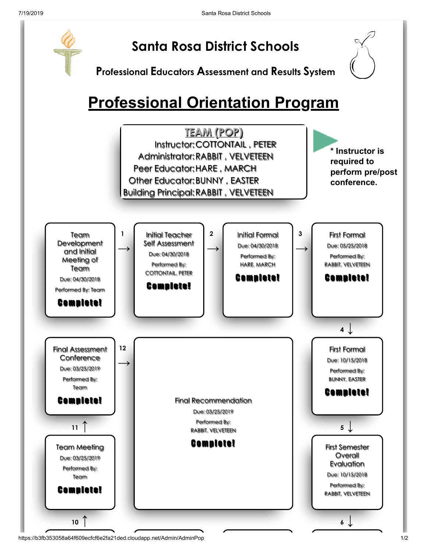